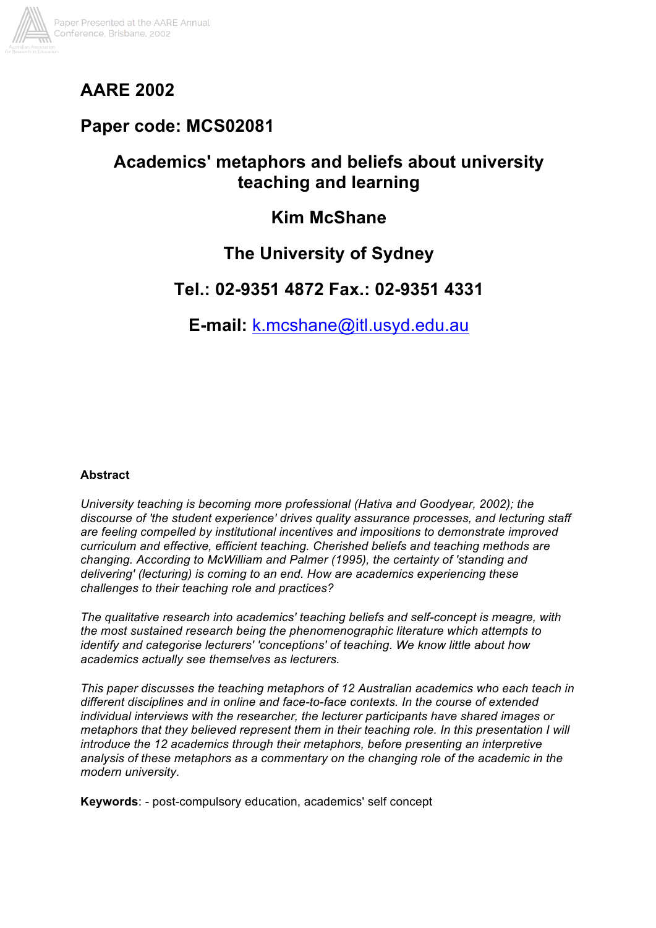

# **AARE 2002**

# **Paper code: MCS02081**

# **Academics' metaphors and beliefs about university teaching and learning**

# **Kim McShane**

# **The University of Sydney**

## **Tel.: 02-9351 4872 Fax.: 02-9351 4331**

**E-mail:** k.mcshane@itl.usyd.edu.au

## **Abstract**

*University teaching is becoming more professional (Hativa and Goodyear, 2002); the discourse of 'the student experience' drives quality assurance processes, and lecturing staff are feeling compelled by institutional incentives and impositions to demonstrate improved curriculum and effective, efficient teaching. Cherished beliefs and teaching methods are changing. According to McWilliam and Palmer (1995), the certainty of 'standing and delivering' (lecturing) is coming to an end. How are academics experiencing these challenges to their teaching role and practices?*

*The qualitative research into academics' teaching beliefs and self-concept is meagre, with the most sustained research being the phenomenographic literature which attempts to identify and categorise lecturers' 'conceptions' of teaching. We know little about how academics actually see themselves as lecturers.*

*This paper discusses the teaching metaphors of 12 Australian academics who each teach in different disciplines and in online and face-to-face contexts. In the course of extended individual interviews with the researcher, the lecturer participants have shared images or metaphors that they believed represent them in their teaching role. In this presentation I will introduce the 12 academics through their metaphors, before presenting an interpretive analysis of these metaphors as a commentary on the changing role of the academic in the modern university*.

**Keywords**: - post-compulsory education, academics' self concept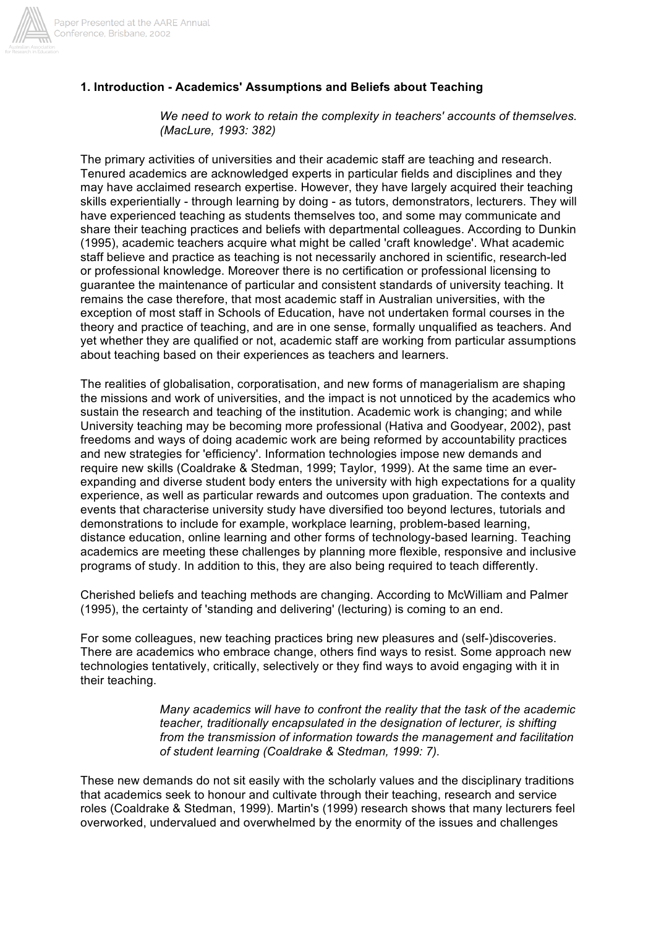

## **1. Introduction - Academics' Assumptions and Beliefs about Teaching**

*We need to work to retain the complexity in teachers' accounts of themselves. (MacLure, 1993: 382)*

The primary activities of universities and their academic staff are teaching and research. Tenured academics are acknowledged experts in particular fields and disciplines and they may have acclaimed research expertise. However, they have largely acquired their teaching skills experientially - through learning by doing - as tutors, demonstrators, lecturers. They will have experienced teaching as students themselves too, and some may communicate and share their teaching practices and beliefs with departmental colleagues. According to Dunkin (1995), academic teachers acquire what might be called 'craft knowledge'. What academic staff believe and practice as teaching is not necessarily anchored in scientific, research-led or professional knowledge. Moreover there is no certification or professional licensing to guarantee the maintenance of particular and consistent standards of university teaching. It remains the case therefore, that most academic staff in Australian universities, with the exception of most staff in Schools of Education, have not undertaken formal courses in the theory and practice of teaching, and are in one sense, formally unqualified as teachers. And yet whether they are qualified or not, academic staff are working from particular assumptions about teaching based on their experiences as teachers and learners.

The realities of globalisation, corporatisation, and new forms of managerialism are shaping the missions and work of universities, and the impact is not unnoticed by the academics who sustain the research and teaching of the institution. Academic work is changing; and while University teaching may be becoming more professional (Hativa and Goodyear, 2002), past freedoms and ways of doing academic work are being reformed by accountability practices and new strategies for 'efficiency'. Information technologies impose new demands and require new skills (Coaldrake & Stedman, 1999; Taylor, 1999). At the same time an everexpanding and diverse student body enters the university with high expectations for a quality experience, as well as particular rewards and outcomes upon graduation. The contexts and events that characterise university study have diversified too beyond lectures, tutorials and demonstrations to include for example, workplace learning, problem-based learning, distance education, online learning and other forms of technology-based learning. Teaching academics are meeting these challenges by planning more flexible, responsive and inclusive programs of study. In addition to this, they are also being required to teach differently.

Cherished beliefs and teaching methods are changing. According to McWilliam and Palmer (1995), the certainty of 'standing and delivering' (lecturing) is coming to an end.

For some colleagues, new teaching practices bring new pleasures and (self-)discoveries. There are academics who embrace change, others find ways to resist. Some approach new technologies tentatively, critically, selectively or they find ways to avoid engaging with it in their teaching.

> *Many academics will have to confront the reality that the task of the academic teacher, traditionally encapsulated in the designation of lecturer, is shifting from the transmission of information towards the management and facilitation of student learning (Coaldrake & Stedman, 1999: 7).*

These new demands do not sit easily with the scholarly values and the disciplinary traditions that academics seek to honour and cultivate through their teaching, research and service roles (Coaldrake & Stedman, 1999). Martin's (1999) research shows that many lecturers feel overworked, undervalued and overwhelmed by the enormity of the issues and challenges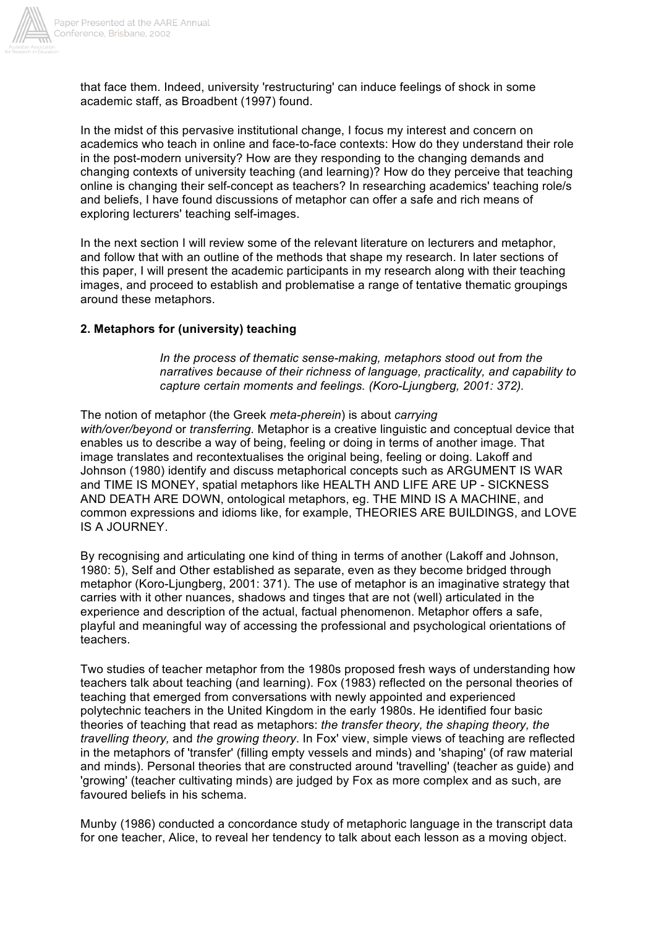

that face them. Indeed, university 'restructuring' can induce feelings of shock in some academic staff, as Broadbent (1997) found.

In the midst of this pervasive institutional change, I focus my interest and concern on academics who teach in online and face-to-face contexts: How do they understand their role in the post-modern university? How are they responding to the changing demands and changing contexts of university teaching (and learning)? How do they perceive that teaching online is changing their self-concept as teachers? In researching academics' teaching role/s and beliefs, I have found discussions of metaphor can offer a safe and rich means of exploring lecturers' teaching self-images.

In the next section I will review some of the relevant literature on lecturers and metaphor, and follow that with an outline of the methods that shape my research. In later sections of this paper, I will present the academic participants in my research along with their teaching images, and proceed to establish and problematise a range of tentative thematic groupings around these metaphors.

### **2. Metaphors for (university) teaching**

*In the process of thematic sense-making, metaphors stood out from the narratives because of their richness of language, practicality, and capability to capture certain moments and feelings. (Koro-Ljungberg, 2001: 372).*

The notion of metaphor (the Greek *meta-pherein*) is about *carrying with/over/beyond* or *transferring.* Metaphor is a creative linguistic and conceptual device that enables us to describe a way of being, feeling or doing in terms of another image. That image translates and recontextualises the original being, feeling or doing. Lakoff and Johnson (1980) identify and discuss metaphorical concepts such as ARGUMENT IS WAR and TIME IS MONEY, spatial metaphors like HEALTH AND LIFE ARE UP - SICKNESS AND DEATH ARE DOWN, ontological metaphors, eg. THE MIND IS A MACHINE, and common expressions and idioms like, for example, THEORIES ARE BUILDINGS, and LOVE IS A JOURNEY.

By recognising and articulating one kind of thing in terms of another (Lakoff and Johnson, 1980: 5), Self and Other established as separate, even as they become bridged through metaphor (Koro-Ljungberg, 2001: 371). The use of metaphor is an imaginative strategy that carries with it other nuances, shadows and tinges that are not (well) articulated in the experience and description of the actual, factual phenomenon. Metaphor offers a safe, playful and meaningful way of accessing the professional and psychological orientations of teachers.

Two studies of teacher metaphor from the 1980s proposed fresh ways of understanding how teachers talk about teaching (and learning). Fox (1983) reflected on the personal theories of teaching that emerged from conversations with newly appointed and experienced polytechnic teachers in the United Kingdom in the early 1980s. He identified four basic theories of teaching that read as metaphors: *the transfer theory, the shaping theory, the travelling theory,* and *the growing theory*. In Fox' view, simple views of teaching are reflected in the metaphors of 'transfer' (filling empty vessels and minds) and 'shaping' (of raw material and minds). Personal theories that are constructed around 'travelling' (teacher as guide) and 'growing' (teacher cultivating minds) are judged by Fox as more complex and as such, are favoured beliefs in his schema.

Munby (1986) conducted a concordance study of metaphoric language in the transcript data for one teacher, Alice, to reveal her tendency to talk about each lesson as a moving object.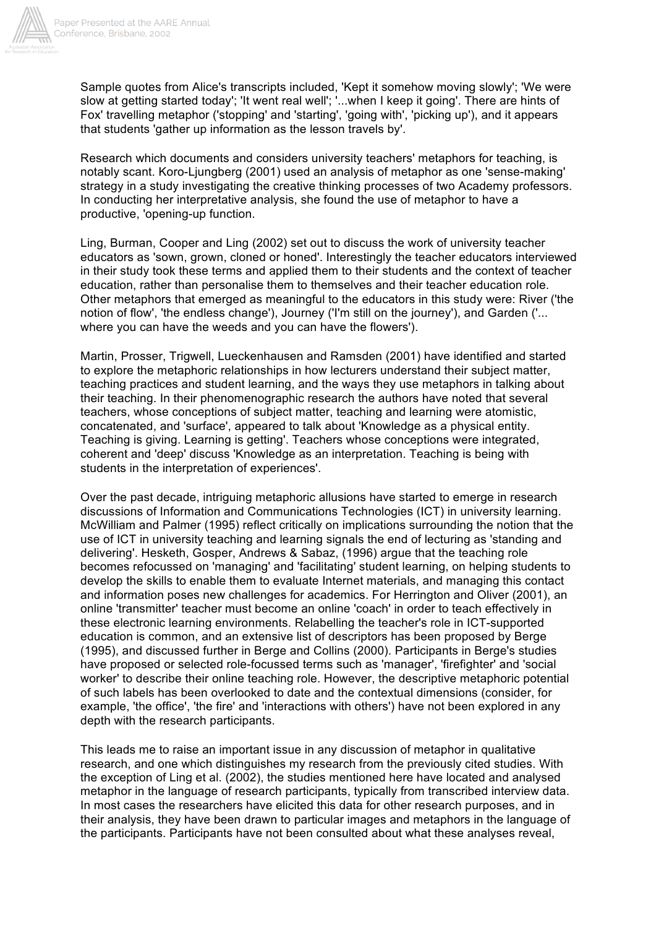

Sample quotes from Alice's transcripts included, 'Kept it somehow moving slowly'; 'We were slow at getting started today'; 'It went real well'; '...when I keep it going'. There are hints of Fox' travelling metaphor ('stopping' and 'starting', 'going with', 'picking up'), and it appears that students 'gather up information as the lesson travels by'.

Research which documents and considers university teachers' metaphors for teaching, is notably scant. Koro-Ljungberg (2001) used an analysis of metaphor as one 'sense-making' strategy in a study investigating the creative thinking processes of two Academy professors. In conducting her interpretative analysis, she found the use of metaphor to have a productive, 'opening-up function.

Ling, Burman, Cooper and Ling (2002) set out to discuss the work of university teacher educators as 'sown, grown, cloned or honed'. Interestingly the teacher educators interviewed in their study took these terms and applied them to their students and the context of teacher education, rather than personalise them to themselves and their teacher education role. Other metaphors that emerged as meaningful to the educators in this study were: River ('the notion of flow', 'the endless change'), Journey ('I'm still on the journey'), and Garden ('... where you can have the weeds and you can have the flowers').

Martin, Prosser, Trigwell, Lueckenhausen and Ramsden (2001) have identified and started to explore the metaphoric relationships in how lecturers understand their subject matter, teaching practices and student learning, and the ways they use metaphors in talking about their teaching. In their phenomenographic research the authors have noted that several teachers, whose conceptions of subject matter, teaching and learning were atomistic, concatenated, and 'surface', appeared to talk about 'Knowledge as a physical entity. Teaching is giving. Learning is getting'. Teachers whose conceptions were integrated, coherent and 'deep' discuss 'Knowledge as an interpretation. Teaching is being with students in the interpretation of experiences'.

Over the past decade, intriguing metaphoric allusions have started to emerge in research discussions of Information and Communications Technologies (ICT) in university learning. McWilliam and Palmer (1995) reflect critically on implications surrounding the notion that the use of ICT in university teaching and learning signals the end of lecturing as 'standing and delivering'. Hesketh, Gosper, Andrews & Sabaz, (1996) argue that the teaching role becomes refocussed on 'managing' and 'facilitating' student learning, on helping students to develop the skills to enable them to evaluate Internet materials, and managing this contact and information poses new challenges for academics. For Herrington and Oliver (2001), an online 'transmitter' teacher must become an online 'coach' in order to teach effectively in these electronic learning environments. Relabelling the teacher's role in ICT-supported education is common, and an extensive list of descriptors has been proposed by Berge (1995), and discussed further in Berge and Collins (2000). Participants in Berge's studies have proposed or selected role-focussed terms such as 'manager', 'firefighter' and 'social worker' to describe their online teaching role. However, the descriptive metaphoric potential of such labels has been overlooked to date and the contextual dimensions (consider, for example, 'the office', 'the fire' and 'interactions with others') have not been explored in any depth with the research participants.

This leads me to raise an important issue in any discussion of metaphor in qualitative research, and one which distinguishes my research from the previously cited studies. With the exception of Ling et al. (2002), the studies mentioned here have located and analysed metaphor in the language of research participants, typically from transcribed interview data. In most cases the researchers have elicited this data for other research purposes, and in their analysis, they have been drawn to particular images and metaphors in the language of the participants. Participants have not been consulted about what these analyses reveal,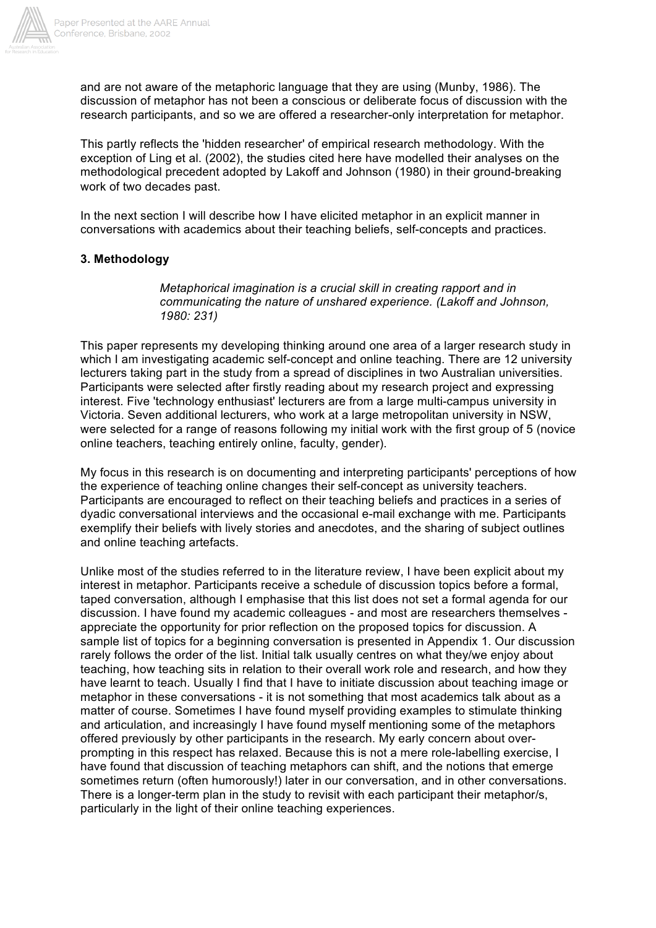

and are not aware of the metaphoric language that they are using (Munby, 1986). The discussion of metaphor has not been a conscious or deliberate focus of discussion with the research participants, and so we are offered a researcher-only interpretation for metaphor.

This partly reflects the 'hidden researcher' of empirical research methodology. With the exception of Ling et al. (2002), the studies cited here have modelled their analyses on the methodological precedent adopted by Lakoff and Johnson (1980) in their ground-breaking work of two decades past.

In the next section I will describe how I have elicited metaphor in an explicit manner in conversations with academics about their teaching beliefs, self-concepts and practices.

## **3. Methodology**

*Metaphorical imagination is a crucial skill in creating rapport and in communicating the nature of unshared experience. (Lakoff and Johnson, 1980: 231)*

This paper represents my developing thinking around one area of a larger research study in which I am investigating academic self-concept and online teaching. There are 12 university lecturers taking part in the study from a spread of disciplines in two Australian universities. Participants were selected after firstly reading about my research project and expressing interest. Five 'technology enthusiast' lecturers are from a large multi-campus university in Victoria. Seven additional lecturers, who work at a large metropolitan university in NSW, were selected for a range of reasons following my initial work with the first group of 5 (novice online teachers, teaching entirely online, faculty, gender).

My focus in this research is on documenting and interpreting participants' perceptions of how the experience of teaching online changes their self-concept as university teachers. Participants are encouraged to reflect on their teaching beliefs and practices in a series of dyadic conversational interviews and the occasional e-mail exchange with me. Participants exemplify their beliefs with lively stories and anecdotes, and the sharing of subject outlines and online teaching artefacts.

Unlike most of the studies referred to in the literature review, I have been explicit about my interest in metaphor. Participants receive a schedule of discussion topics before a formal, taped conversation, although I emphasise that this list does not set a formal agenda for our discussion. I have found my academic colleagues - and most are researchers themselves appreciate the opportunity for prior reflection on the proposed topics for discussion. A sample list of topics for a beginning conversation is presented in Appendix 1. Our discussion rarely follows the order of the list. Initial talk usually centres on what they/we enjoy about teaching, how teaching sits in relation to their overall work role and research, and how they have learnt to teach. Usually I find that I have to initiate discussion about teaching image or metaphor in these conversations - it is not something that most academics talk about as a matter of course. Sometimes I have found myself providing examples to stimulate thinking and articulation, and increasingly I have found myself mentioning some of the metaphors offered previously by other participants in the research. My early concern about overprompting in this respect has relaxed. Because this is not a mere role-labelling exercise, I have found that discussion of teaching metaphors can shift, and the notions that emerge sometimes return (often humorously!) later in our conversation, and in other conversations. There is a longer-term plan in the study to revisit with each participant their metaphor/s, particularly in the light of their online teaching experiences.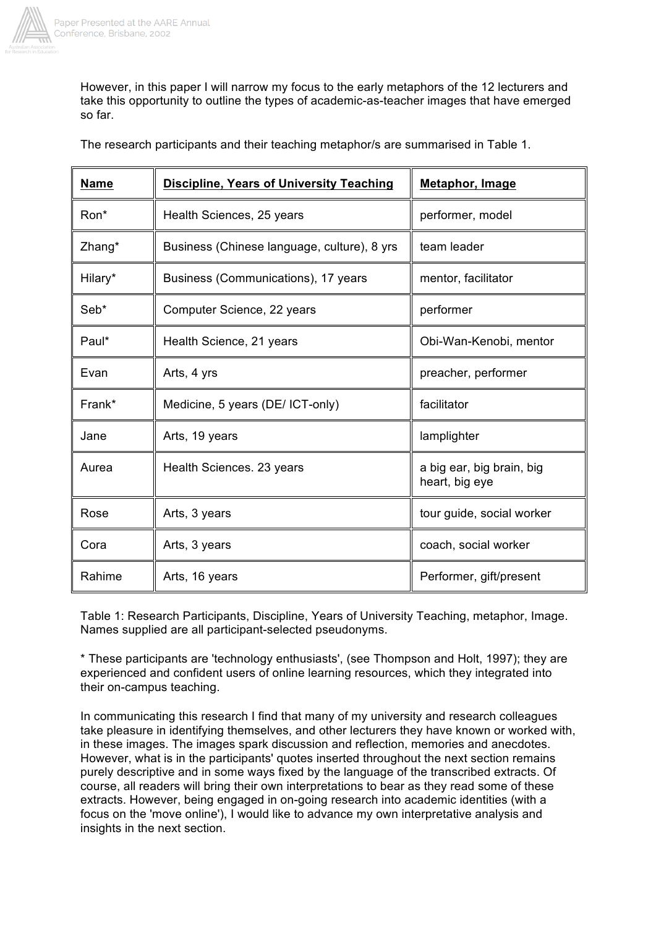

However, in this paper I will narrow my focus to the early metaphors of the 12 lecturers and take this opportunity to outline the types of academic-as-teacher images that have emerged so far.

| <b>Name</b> | <b>Discipline, Years of University Teaching</b> | Metaphor, Image                             |
|-------------|-------------------------------------------------|---------------------------------------------|
| Ron*        | Health Sciences, 25 years                       | performer, model                            |
| Zhang*      | Business (Chinese language, culture), 8 yrs     | team leader                                 |
| Hilary*     | Business (Communications), 17 years             | mentor, facilitator                         |
| Seb*        | Computer Science, 22 years                      | performer                                   |
| Paul*       | Health Science, 21 years                        | Obi-Wan-Kenobi, mentor                      |
| Evan        | Arts, 4 yrs                                     | preacher, performer                         |
| Frank*      | Medicine, 5 years (DE/ ICT-only)                | facilitator                                 |
| Jane        | Arts, 19 years                                  | lamplighter                                 |
| Aurea       | Health Sciences. 23 years                       | a big ear, big brain, big<br>heart, big eye |
| Rose        | Arts, 3 years                                   | tour guide, social worker                   |
| Cora        | Arts, 3 years                                   | coach, social worker                        |
| Rahime      | Arts, 16 years                                  | Performer, gift/present                     |

The research participants and their teaching metaphor/s are summarised in Table 1.

Table 1: Research Participants, Discipline, Years of University Teaching, metaphor, Image. Names supplied are all participant-selected pseudonyms.

\* These participants are 'technology enthusiasts', (see Thompson and Holt, 1997); they are experienced and confident users of online learning resources, which they integrated into their on-campus teaching.

In communicating this research I find that many of my university and research colleagues take pleasure in identifying themselves, and other lecturers they have known or worked with, in these images. The images spark discussion and reflection, memories and anecdotes. However, what is in the participants' quotes inserted throughout the next section remains purely descriptive and in some ways fixed by the language of the transcribed extracts. Of course, all readers will bring their own interpretations to bear as they read some of these extracts. However, being engaged in on-going research into academic identities (with a focus on the 'move online'), I would like to advance my own interpretative analysis and insights in the next section.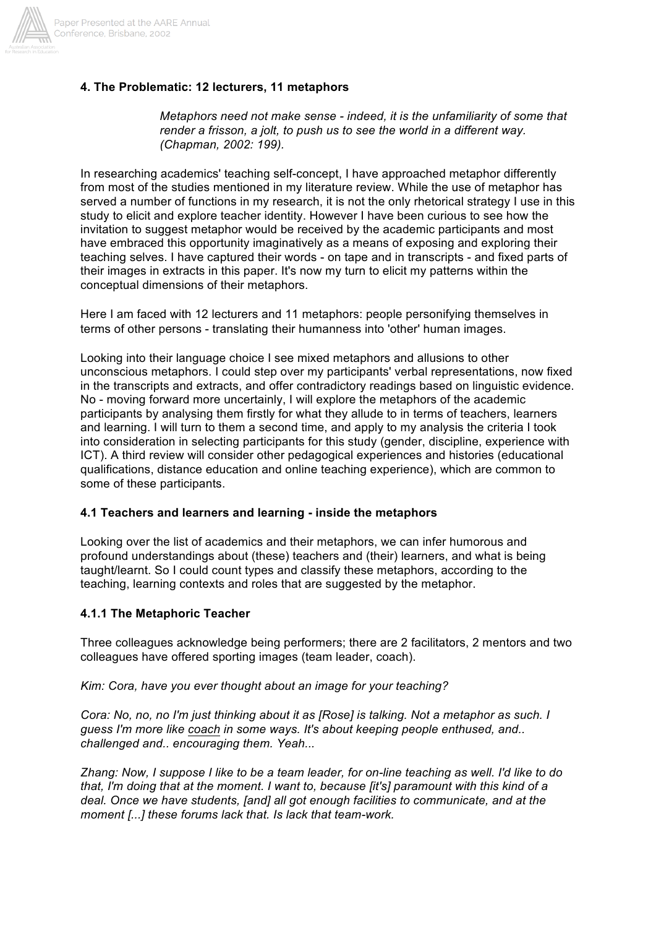

## **4. The Problematic: 12 lecturers, 11 metaphors**

*Metaphors need not make sense - indeed, it is the unfamiliarity of some that render a frisson, a jolt, to push us to see the world in a different way. (Chapman, 2002: 199).*

In researching academics' teaching self-concept, I have approached metaphor differently from most of the studies mentioned in my literature review. While the use of metaphor has served a number of functions in my research, it is not the only rhetorical strategy I use in this study to elicit and explore teacher identity. However I have been curious to see how the invitation to suggest metaphor would be received by the academic participants and most have embraced this opportunity imaginatively as a means of exposing and exploring their teaching selves. I have captured their words - on tape and in transcripts - and fixed parts of their images in extracts in this paper. It's now my turn to elicit my patterns within the conceptual dimensions of their metaphors.

Here I am faced with 12 lecturers and 11 metaphors: people personifying themselves in terms of other persons - translating their humanness into 'other' human images.

Looking into their language choice I see mixed metaphors and allusions to other unconscious metaphors. I could step over my participants' verbal representations, now fixed in the transcripts and extracts, and offer contradictory readings based on linguistic evidence. No - moving forward more uncertainly, I will explore the metaphors of the academic participants by analysing them firstly for what they allude to in terms of teachers, learners and learning. I will turn to them a second time, and apply to my analysis the criteria I took into consideration in selecting participants for this study (gender, discipline, experience with ICT). A third review will consider other pedagogical experiences and histories (educational qualifications, distance education and online teaching experience), which are common to some of these participants.

#### **4.1 Teachers and learners and learning - inside the metaphors**

Looking over the list of academics and their metaphors, we can infer humorous and profound understandings about (these) teachers and (their) learners, and what is being taught/learnt. So I could count types and classify these metaphors, according to the teaching, learning contexts and roles that are suggested by the metaphor.

#### **4.1.1 The Metaphoric Teacher**

Three colleagues acknowledge being performers; there are 2 facilitators, 2 mentors and two colleagues have offered sporting images (team leader, coach).

*Kim: Cora, have you ever thought about an image for your teaching?*

*Cora: No, no, no I'm just thinking about it as [Rose] is talking. Not a metaphor as such. I guess I'm more like coach in some ways. It's about keeping people enthused, and.. challenged and.. encouraging them. Yeah...*

*Zhang: Now, I suppose I like to be a team leader, for on-line teaching as well. I'd like to do that, I'm doing that at the moment. I want to, because [it's] paramount with this kind of a deal. Once we have students, [and] all got enough facilities to communicate, and at the moment [...] these forums lack that. Is lack that team-work.*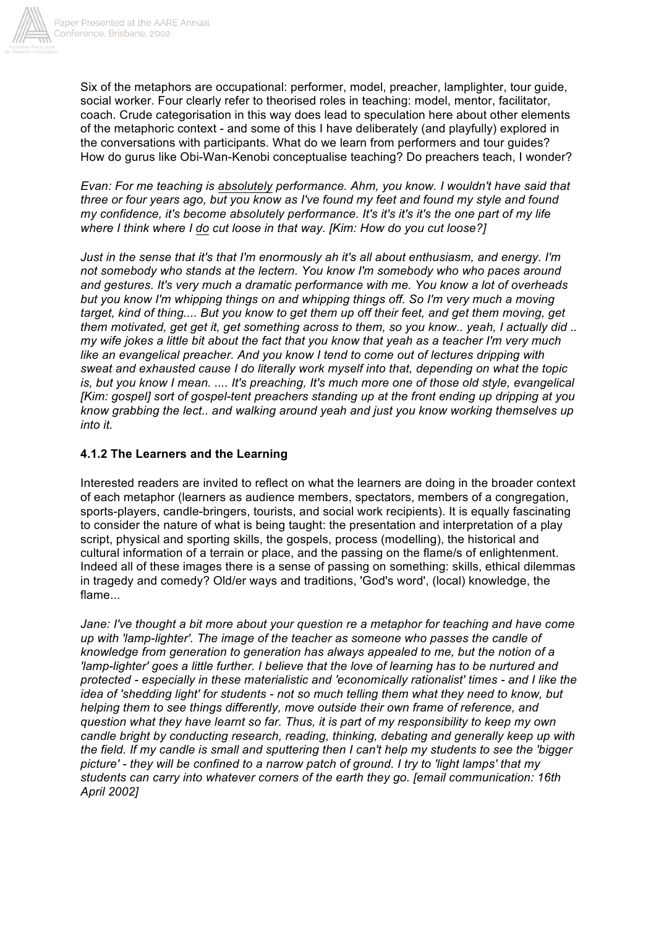

Six of the metaphors are occupational: performer, model, preacher, lamplighter, tour guide, social worker. Four clearly refer to theorised roles in teaching: model, mentor, facilitator, coach. Crude categorisation in this way does lead to speculation here about other elements of the metaphoric context - and some of this I have deliberately (and playfully) explored in the conversations with participants. What do we learn from performers and tour guides? How do gurus like Obi-Wan-Kenobi conceptualise teaching? Do preachers teach, I wonder?

*Evan: For me teaching is absolutely performance. Ahm, you know. I wouldn't have said that three or four years ago, but you know as I've found my feet and found my style and found my confidence, it's become absolutely performance. It's it's it's it's the one part of my life where I think where I do cut loose in that way. [Kim: How do you cut loose?]*

*Just in the sense that it's that I'm enormously ah it's all about enthusiasm, and energy. I'm not somebody who stands at the lectern. You know I'm somebody who who paces around and gestures. It's very much a dramatic performance with me. You know a lot of overheads but you know I'm whipping things on and whipping things off. So I'm very much a moving target, kind of thing.... But you know to get them up off their feet, and get them moving, get them motivated, get get it, get something across to them, so you know.. yeah, I actually did .. my wife jokes a little bit about the fact that you know that yeah as a teacher I'm very much like an evangelical preacher. And you know I tend to come out of lectures dripping with sweat and exhausted cause I do literally work myself into that, depending on what the topic is, but you know I mean. .... It's preaching, It's much more one of those old style, evangelical [Kim: gospel] sort of gospel-tent preachers standing up at the front ending up dripping at you know grabbing the lect.. and walking around yeah and just you know working themselves up into it.*

## **4.1.2 The Learners and the Learning**

Interested readers are invited to reflect on what the learners are doing in the broader context of each metaphor (learners as audience members, spectators, members of a congregation, sports-players, candle-bringers, tourists, and social work recipients). It is equally fascinating to consider the nature of what is being taught: the presentation and interpretation of a play script, physical and sporting skills, the gospels, process (modelling), the historical and cultural information of a terrain or place, and the passing on the flame/s of enlightenment. Indeed all of these images there is a sense of passing on something: skills, ethical dilemmas in tragedy and comedy? Old/er ways and traditions, 'God's word', (local) knowledge, the flame...

*Jane: I've thought a bit more about your question re a metaphor for teaching and have come up with 'lamp-lighter'. The image of the teacher as someone who passes the candle of knowledge from generation to generation has always appealed to me, but the notion of a 'lamp-lighter' goes a little further. I believe that the love of learning has to be nurtured and protected - especially in these materialistic and 'economically rationalist' times - and I like the idea of 'shedding light' for students - not so much telling them what they need to know, but helping them to see things differently, move outside their own frame of reference, and question what they have learnt so far. Thus, it is part of my responsibility to keep my own candle bright by conducting research, reading, thinking, debating and generally keep up with the field. If my candle is small and sputtering then I can't help my students to see the 'bigger picture' - they will be confined to a narrow patch of ground. I try to 'light lamps' that my students can carry into whatever corners of the earth they go. [email communication: 16th April 2002]*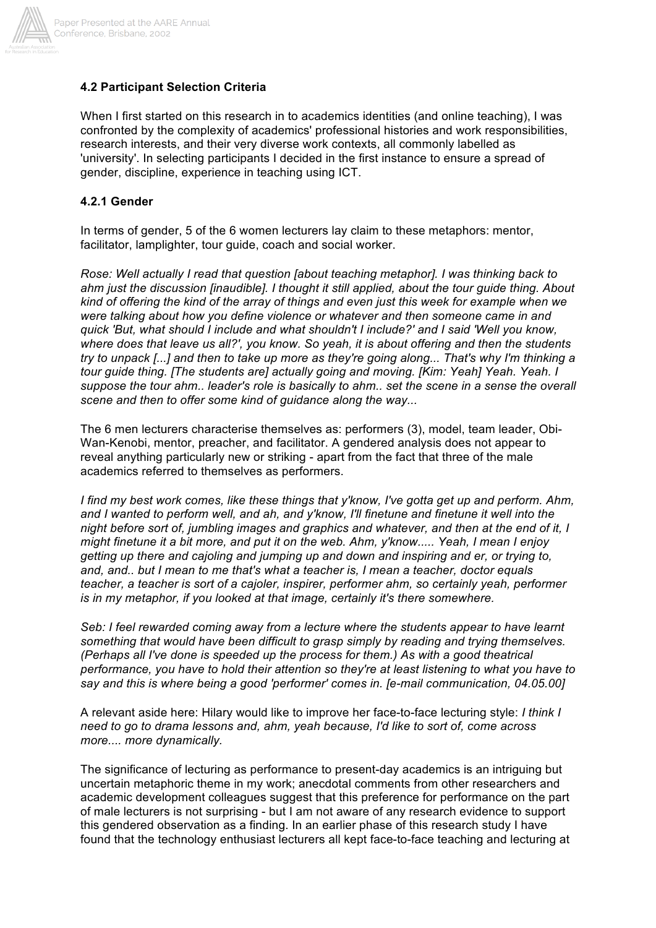

## **4.2 Participant Selection Criteria**

When I first started on this research in to academics identities (and online teaching), I was confronted by the complexity of academics' professional histories and work responsibilities, research interests, and their very diverse work contexts, all commonly labelled as 'university'. In selecting participants I decided in the first instance to ensure a spread of gender, discipline, experience in teaching using ICT.

## **4.2.1 Gender**

In terms of gender, 5 of the 6 women lecturers lay claim to these metaphors: mentor, facilitator, lamplighter, tour guide, coach and social worker.

*Rose: Well actually I read that question [about teaching metaphor]. I was thinking back to ahm just the discussion [inaudible]. I thought it still applied, about the tour guide thing. About kind of offering the kind of the array of things and even just this week for example when we were talking about how you define violence or whatever and then someone came in and quick 'But, what should I include and what shouldn't I include?' and I said 'Well you know, where does that leave us all?', you know. So yeah, it is about offering and then the students try to unpack [...] and then to take up more as they're going along... That's why I'm thinking a tour guide thing. [The students are] actually going and moving. [Kim: Yeah] Yeah. Yeah. I suppose the tour ahm.. leader's role is basically to ahm.. set the scene in a sense the overall scene and then to offer some kind of guidance along the way...*

The 6 men lecturers characterise themselves as: performers (3), model, team leader, Obi-Wan-Kenobi, mentor, preacher, and facilitator. A gendered analysis does not appear to reveal anything particularly new or striking - apart from the fact that three of the male academics referred to themselves as performers.

*I find my best work comes, like these things that y'know, I've gotta get up and perform. Ahm, and I wanted to perform well, and ah, and y'know, I'll finetune and finetune it well into the night before sort of, jumbling images and graphics and whatever, and then at the end of it, I might finetune it a bit more, and put it on the web. Ahm, y'know..... Yeah, I mean I enjoy getting up there and cajoling and jumping up and down and inspiring and er, or trying to, and, and.. but I mean to me that's what a teacher is, I mean a teacher, doctor equals teacher, a teacher is sort of a cajoler, inspirer, performer ahm, so certainly yeah, performer is in my metaphor, if you looked at that image, certainly it's there somewhere.*

*Seb: I feel rewarded coming away from a lecture where the students appear to have learnt something that would have been difficult to grasp simply by reading and trying themselves. (Perhaps all I've done is speeded up the process for them.) As with a good theatrical performance, you have to hold their attention so they're at least listening to what you have to say and this is where being a good 'performer' comes in. [e-mail communication, 04.05.00]*

A relevant aside here: Hilary would like to improve her face-to-face lecturing style: *I think I need to go to drama lessons and, ahm, yeah because, I'd like to sort of, come across more.... more dynamically.*

The significance of lecturing as performance to present-day academics is an intriguing but uncertain metaphoric theme in my work; anecdotal comments from other researchers and academic development colleagues suggest that this preference for performance on the part of male lecturers is not surprising - but I am not aware of any research evidence to support this gendered observation as a finding. In an earlier phase of this research study I have found that the technology enthusiast lecturers all kept face-to-face teaching and lecturing at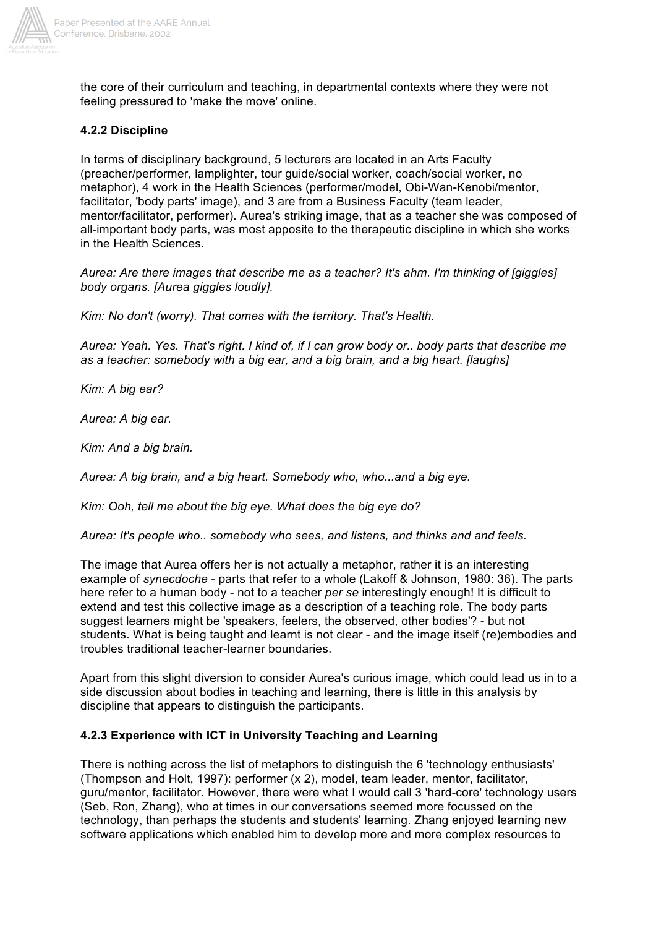

the core of their curriculum and teaching, in departmental contexts where they were not feeling pressured to 'make the move' online.

## **4.2.2 Discipline**

In terms of disciplinary background, 5 lecturers are located in an Arts Faculty (preacher/performer, lamplighter, tour guide/social worker, coach/social worker, no metaphor), 4 work in the Health Sciences (performer/model, Obi-Wan-Kenobi/mentor, facilitator, 'body parts' image), and 3 are from a Business Faculty (team leader, mentor/facilitator, performer). Aurea's striking image, that as a teacher she was composed of all-important body parts, was most apposite to the therapeutic discipline in which she works in the Health Sciences.

*Aurea: Are there images that describe me as a teacher? It's ahm. I'm thinking of [giggles] body organs. [Aurea giggles loudly].*

*Kim: No don't (worry). That comes with the territory. That's Health.*

*Aurea: Yeah. Yes. That's right. I kind of, if I can grow body or.. body parts that describe me as a teacher: somebody with a big ear, and a big brain, and a big heart. [laughs]*

*Kim: A big ear?*

*Aurea: A big ear.*

*Kim: And a big brain.*

*Aurea: A big brain, and a big heart. Somebody who, who...and a big eye.*

*Kim: Ooh, tell me about the big eye. What does the big eye do?*

*Aurea: It's people who.. somebody who sees, and listens, and thinks and and feels.*

The image that Aurea offers her is not actually a metaphor, rather it is an interesting example of *synecdoche* - parts that refer to a whole (Lakoff & Johnson, 1980: 36). The parts here refer to a human body - not to a teacher *per se* interestingly enough! It is difficult to extend and test this collective image as a description of a teaching role. The body parts suggest learners might be 'speakers, feelers, the observed, other bodies'? - but not students. What is being taught and learnt is not clear - and the image itself (re)embodies and troubles traditional teacher-learner boundaries.

Apart from this slight diversion to consider Aurea's curious image, which could lead us in to a side discussion about bodies in teaching and learning, there is little in this analysis by discipline that appears to distinguish the participants.

## **4.2.3 Experience with ICT in University Teaching and Learning**

There is nothing across the list of metaphors to distinguish the 6 'technology enthusiasts' (Thompson and Holt, 1997): performer (x 2), model, team leader, mentor, facilitator, guru/mentor, facilitator. However, there were what I would call 3 'hard-core' technology users (Seb, Ron, Zhang), who at times in our conversations seemed more focussed on the technology, than perhaps the students and students' learning. Zhang enjoyed learning new software applications which enabled him to develop more and more complex resources to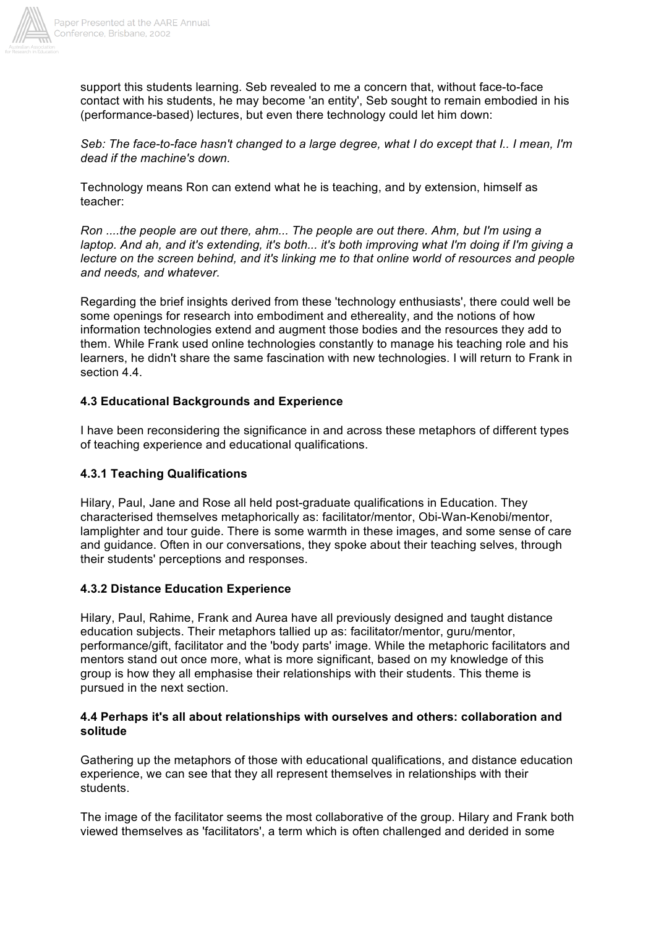

support this students learning. Seb revealed to me a concern that, without face-to-face contact with his students, he may become 'an entity', Seb sought to remain embodied in his (performance-based) lectures, but even there technology could let him down:

*Seb: The face-to-face hasn't changed to a large degree, what I do except that I.. I mean, I'm dead if the machine's down.*

Technology means Ron can extend what he is teaching, and by extension, himself as teacher:

*Ron ....the people are out there, ahm... The people are out there. Ahm, but I'm using a laptop. And ah, and it's extending, it's both... it's both improving what I'm doing if I'm giving a lecture on the screen behind, and it's linking me to that online world of resources and people and needs, and whatever.*

Regarding the brief insights derived from these 'technology enthusiasts', there could well be some openings for research into embodiment and ethereality, and the notions of how information technologies extend and augment those bodies and the resources they add to them. While Frank used online technologies constantly to manage his teaching role and his learners, he didn't share the same fascination with new technologies. I will return to Frank in section 4.4

## **4.3 Educational Backgrounds and Experience**

I have been reconsidering the significance in and across these metaphors of different types of teaching experience and educational qualifications.

## **4.3.1 Teaching Qualifications**

Hilary, Paul, Jane and Rose all held post-graduate qualifications in Education. They characterised themselves metaphorically as: facilitator/mentor, Obi-Wan-Kenobi/mentor, lamplighter and tour guide. There is some warmth in these images, and some sense of care and guidance. Often in our conversations, they spoke about their teaching selves, through their students' perceptions and responses.

## **4.3.2 Distance Education Experience**

Hilary, Paul, Rahime, Frank and Aurea have all previously designed and taught distance education subjects. Their metaphors tallied up as: facilitator/mentor, guru/mentor, performance/gift, facilitator and the 'body parts' image. While the metaphoric facilitators and mentors stand out once more, what is more significant, based on my knowledge of this group is how they all emphasise their relationships with their students. This theme is pursued in the next section.

#### **4.4 Perhaps it's all about relationships with ourselves and others: collaboration and solitude**

Gathering up the metaphors of those with educational qualifications, and distance education experience, we can see that they all represent themselves in relationships with their students.

The image of the facilitator seems the most collaborative of the group. Hilary and Frank both viewed themselves as 'facilitators', a term which is often challenged and derided in some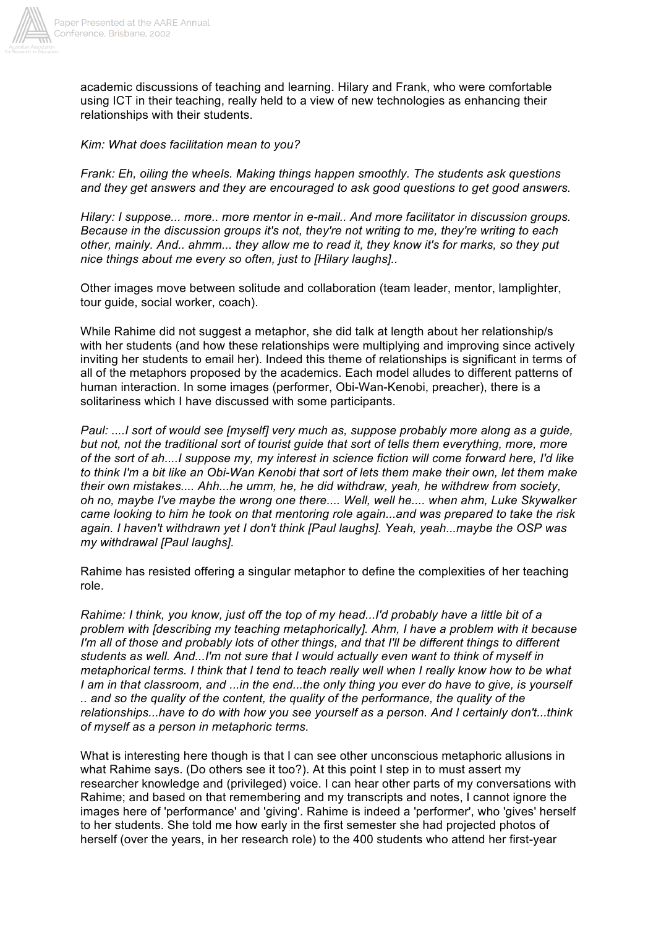

academic discussions of teaching and learning. Hilary and Frank, who were comfortable using ICT in their teaching, really held to a view of new technologies as enhancing their relationships with their students.

#### *Kim: What does facilitation mean to you?*

*Frank: Eh, oiling the wheels. Making things happen smoothly. The students ask questions and they get answers and they are encouraged to ask good questions to get good answers.*

*Hilary: I suppose... more.. more mentor in e-mail.. And more facilitator in discussion groups. Because in the discussion groups it's not, they're not writing to me, they're writing to each other, mainly. And.. ahmm... they allow me to read it, they know it's for marks, so they put nice things about me every so often, just to [Hilary laughs]..*

Other images move between solitude and collaboration (team leader, mentor, lamplighter, tour guide, social worker, coach).

While Rahime did not suggest a metaphor, she did talk at length about her relationship/s with her students (and how these relationships were multiplying and improving since actively inviting her students to email her). Indeed this theme of relationships is significant in terms of all of the metaphors proposed by the academics. Each model alludes to different patterns of human interaction. In some images (performer, Obi-Wan-Kenobi, preacher), there is a solitariness which I have discussed with some participants.

*Paul: ....I sort of would see [myself] very much as, suppose probably more along as a guide, but not, not the traditional sort of tourist guide that sort of tells them everything, more, more of the sort of ah....I suppose my, my interest in science fiction will come forward here, I'd like to think I'm a bit like an Obi-Wan Kenobi that sort of lets them make their own, let them make their own mistakes.... Ahh...he umm, he, he did withdraw, yeah, he withdrew from society, oh no, maybe I've maybe the wrong one there.... Well, well he.... when ahm, Luke Skywalker came looking to him he took on that mentoring role again...and was prepared to take the risk again. I haven't withdrawn yet I don't think [Paul laughs]. Yeah, yeah...maybe the OSP was my withdrawal [Paul laughs].*

Rahime has resisted offering a singular metaphor to define the complexities of her teaching role.

*Rahime: I think, you know, just off the top of my head...I'd probably have a little bit of a problem with [describing my teaching metaphorically]. Ahm, I have a problem with it because I'm all of those and probably lots of other things, and that I'll be different things to different students as well. And...I'm not sure that I would actually even want to think of myself in metaphorical terms. I think that I tend to teach really well when I really know how to be what I am in that classroom, and ...in the end...the only thing you ever do have to give, is yourself .. and so the quality of the content, the quality of the performance, the quality of the relationships...have to do with how you see yourself as a person. And I certainly don't...think of myself as a person in metaphoric terms.*

What is interesting here though is that I can see other unconscious metaphoric allusions in what Rahime says. (Do others see it too?). At this point I step in to must assert my researcher knowledge and (privileged) voice. I can hear other parts of my conversations with Rahime; and based on that remembering and my transcripts and notes, I cannot ignore the images here of 'performance' and 'giving'. Rahime is indeed a 'performer', who 'gives' herself to her students. She told me how early in the first semester she had projected photos of herself (over the years, in her research role) to the 400 students who attend her first-year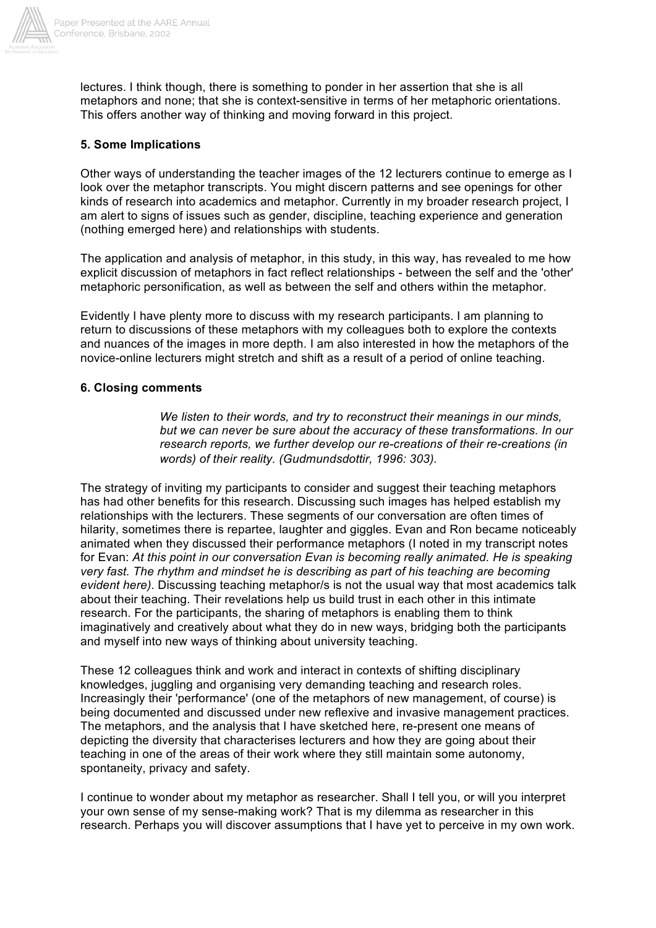

lectures. I think though, there is something to ponder in her assertion that she is all metaphors and none; that she is context-sensitive in terms of her metaphoric orientations. This offers another way of thinking and moving forward in this project.

## **5. Some Implications**

Other ways of understanding the teacher images of the 12 lecturers continue to emerge as I look over the metaphor transcripts. You might discern patterns and see openings for other kinds of research into academics and metaphor. Currently in my broader research project, I am alert to signs of issues such as gender, discipline, teaching experience and generation (nothing emerged here) and relationships with students.

The application and analysis of metaphor, in this study, in this way, has revealed to me how explicit discussion of metaphors in fact reflect relationships - between the self and the 'other' metaphoric personification, as well as between the self and others within the metaphor.

Evidently I have plenty more to discuss with my research participants. I am planning to return to discussions of these metaphors with my colleagues both to explore the contexts and nuances of the images in more depth. I am also interested in how the metaphors of the novice-online lecturers might stretch and shift as a result of a period of online teaching.

#### **6. Closing comments**

*We listen to their words, and try to reconstruct their meanings in our minds, but we can never be sure about the accuracy of these transformations. In our research reports, we further develop our re-creations of their re-creations (in words) of their reality. (Gudmundsdottir, 1996: 303).*

The strategy of inviting my participants to consider and suggest their teaching metaphors has had other benefits for this research. Discussing such images has helped establish my relationships with the lecturers. These segments of our conversation are often times of hilarity, sometimes there is repartee, laughter and giggles. Evan and Ron became noticeably animated when they discussed their performance metaphors (I noted in my transcript notes for Evan: *At this point in our conversation Evan is becoming really animated. He is speaking very fast. The rhythm and mindset he is describing as part of his teaching are becoming evident here)*. Discussing teaching metaphor/s is not the usual way that most academics talk about their teaching. Their revelations help us build trust in each other in this intimate research. For the participants, the sharing of metaphors is enabling them to think imaginatively and creatively about what they do in new ways, bridging both the participants and myself into new ways of thinking about university teaching.

These 12 colleagues think and work and interact in contexts of shifting disciplinary knowledges, juggling and organising very demanding teaching and research roles. Increasingly their 'performance' (one of the metaphors of new management, of course) is being documented and discussed under new reflexive and invasive management practices. The metaphors, and the analysis that I have sketched here, re-present one means of depicting the diversity that characterises lecturers and how they are going about their teaching in one of the areas of their work where they still maintain some autonomy, spontaneity, privacy and safety.

I continue to wonder about my metaphor as researcher. Shall I tell you, or will you interpret your own sense of my sense-making work? That is my dilemma as researcher in this research. Perhaps you will discover assumptions that I have yet to perceive in my own work.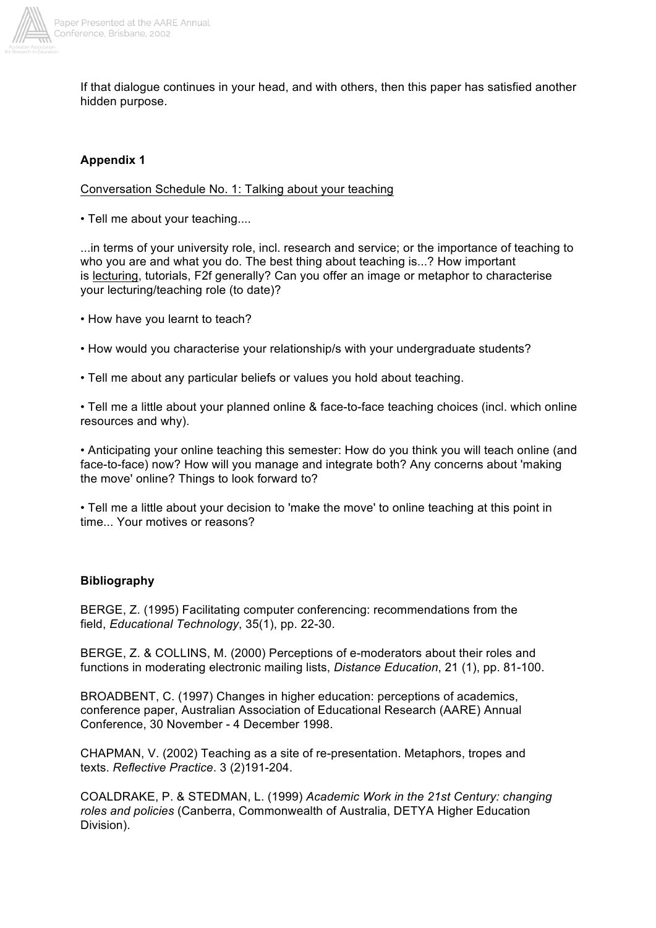

If that dialogue continues in your head, and with others, then this paper has satisfied another hidden purpose.

## **Appendix 1**

Conversation Schedule No. 1: Talking about your teaching

• Tell me about your teaching....

...in terms of your university role, incl. research and service; or the importance of teaching to who you are and what you do. The best thing about teaching is...? How important is lecturing, tutorials, F2f generally? Can you offer an image or metaphor to characterise your lecturing/teaching role (to date)?

• How have you learnt to teach?

• How would you characterise your relationship/s with your undergraduate students?

• Tell me about any particular beliefs or values you hold about teaching.

• Tell me a little about your planned online & face-to-face teaching choices (incl. which online resources and why).

• Anticipating your online teaching this semester: How do you think you will teach online (and face-to-face) now? How will you manage and integrate both? Any concerns about 'making the move' online? Things to look forward to?

• Tell me a little about your decision to 'make the move' to online teaching at this point in time... Your motives or reasons?

## **Bibliography**

BERGE, Z. (1995) Facilitating computer conferencing: recommendations from the field, *Educational Technology*, 35(1), pp. 22-30.

BERGE, Z. & COLLINS, M. (2000) Perceptions of e-moderators about their roles and functions in moderating electronic mailing lists, *Distance Education*, 21 (1), pp. 81-100.

BROADBENT, C. (1997) Changes in higher education: perceptions of academics, conference paper, Australian Association of Educational Research (AARE) Annual Conference, 30 November - 4 December 1998.

CHAPMAN, V. (2002) Teaching as a site of re-presentation. Metaphors, tropes and texts. *Reflective Practice*. 3 (2)191-204.

COALDRAKE, P. & STEDMAN, L. (1999) *Academic Work in the 21st Century: changing roles and policies* (Canberra, Commonwealth of Australia, DETYA Higher Education Division).